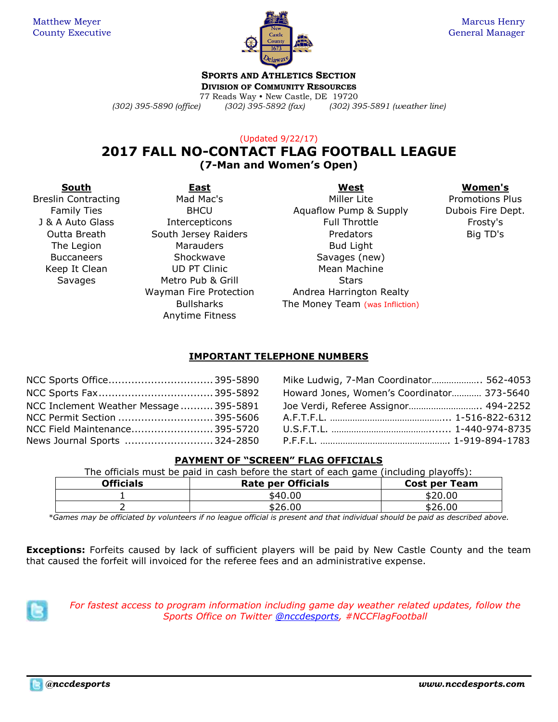

**SPORTS AND ATHLETICS SECTION DIVISION OF COMMUNITY RESOURCES**

77 Reads Way • New Castle, DE 19720

*(302) 395-5890 (office) (302) 395-5892 (fax) (302) 395-5891 (weather line)*

#### (Updated 9/22/17)

## **2017 FALL NO-CONTACT FLAG FOOTBALL LEAGUE**

**(7-Man and Women's Open)**

**South East West Women's** The Legion **Marauders** Marauders Bud Light Buccaneers Shockwave Shockwave Savages (new) Keep It Clean **UD PT Clinic** Mean Machine Savages Metro Pub & Grill Stars Anytime Fitness

Breslin Contracting **Mad Mac's** Miller Lite **Promotions Plus Promotions Plus** Family Ties **BHCU** BHCU Aquaflow Pump & Supply Dubois Fire Dept. J & A Auto Glass The Intercepticons The Theory's Full Throttle The Secty's Frosty's Outta Breath South Jersey Raiders **Big TD's** Predators Big TD's Wayman Fire Protection **Andrea Harrington Realty** Bullsharks The Money Team (was Infliction)

### **IMPORTANT TELEPHONE NUMBERS**

| NCC Inclement Weather Message 395-5891 |  |
|----------------------------------------|--|
| NCC Permit Section  395-5606           |  |
| NCC Field Maintenance395-5720          |  |
| News Journal Sports  324-2850          |  |

Mike Ludwig, 7-Man Coordinator………………... 562-4053 Howard Jones, Women's Coordinator………… 373-5640 Joe Verdi, Referee Assignor............................ 494-2252 A.F.T.F.L. ………………………………………… 1-516-822-6312 U.S.F.T.L. ………………………………………… 1-440-974-8735 P.F.F.L. …………………………………………………… 1-919-894-1783

#### **PAYMENT OF "SCREEN" FLAG OFFICIALS**

| The officials must be paid in cash before the start of each game (including playoffs): |  |
|----------------------------------------------------------------------------------------|--|
|----------------------------------------------------------------------------------------|--|

| <b>Officials</b> | <b>Rate per Officials</b> | Cost per Team |
|------------------|---------------------------|---------------|
|                  | \$40.00                   | \$20.00       |
|                  | \$26.00                   | \$26.00       |

*\*Games may be officiated by volunteers if no league official is present and that individual should be paid as described above.*

**Exceptions:** Forfeits caused by lack of sufficient players will be paid by New Castle County and the team that caused the forfeit will invoiced for the referee fees and an administrative expense.



*For fastest access to program information including game day weather related updates, follow the Sports Office on Twitter [@nccdesports,](http://www.twitter.com/nccdesports) #NCCFlagFootball*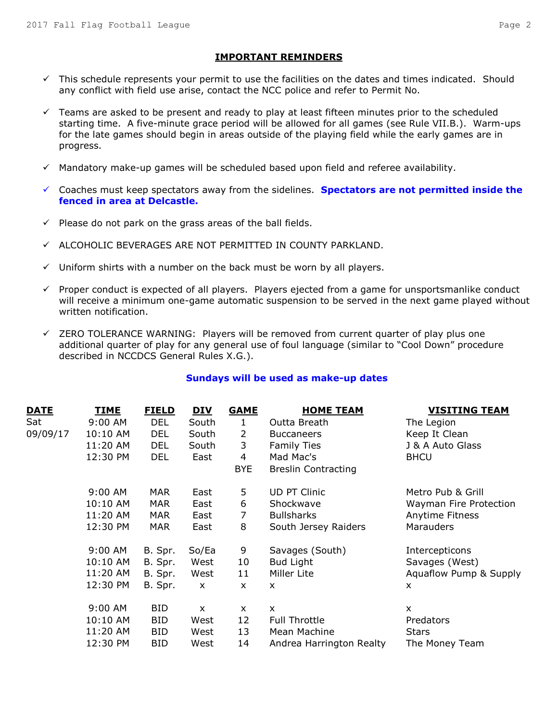#### **IMPORTANT REMINDERS**

- $\checkmark$  This schedule represents your permit to use the facilities on the dates and times indicated. Should any conflict with field use arise, contact the NCC police and refer to Permit No.
- $\checkmark$  Teams are asked to be present and ready to play at least fifteen minutes prior to the scheduled starting time. A five-minute grace period will be allowed for all games (see Rule VII.B.). Warm-ups for the late games should begin in areas outside of the playing field while the early games are in progress.
- $\checkmark$  Mandatory make-up games will be scheduled based upon field and referee availability.
- Coaches must keep spectators away from the sidelines. **Spectators are not permitted inside the fenced in area at Delcastle.**
- $\checkmark$  Please do not park on the grass areas of the ball fields.
- $\checkmark$  ALCOHOLIC BEVERAGES ARE NOT PERMITTED IN COUNTY PARKLAND.
- $\checkmark$  Uniform shirts with a number on the back must be worn by all players.
- $\checkmark$  Proper conduct is expected of all players. Players ejected from a game for unsportsmanlike conduct will receive a minimum one-game automatic suspension to be served in the next game played without written notification.
- $\checkmark$  ZERO TOLERANCE WARNING: Players will be removed from current quarter of play plus one additional quarter of play for any general use of foul language (similar to "Cool Down" procedure described in NCCDCS General Rules X.G.).

#### **Sundays will be used as make-up dates**

| <b>DATE</b> | <b>TIME</b> | <u>FIELD</u> | <u>DIV</u>                | <b>GAME</b>    | <b>HOME TEAM</b>           | <b>VISITING TEAM</b>   |
|-------------|-------------|--------------|---------------------------|----------------|----------------------------|------------------------|
| Sat         | $9:00$ AM   | <b>DEL</b>   | South                     | 1              | Outta Breath               | The Legion             |
| 09/09/17    | 10:10 AM    | <b>DEL</b>   | South                     | $\overline{2}$ | <b>Buccaneers</b>          | Keep It Clean          |
|             | 11:20 AM    | <b>DEL</b>   | South                     | 3              | <b>Family Ties</b>         | J & A Auto Glass       |
|             | 12:30 PM    | <b>DEL</b>   | East                      | 4              | Mad Mac's                  | <b>BHCU</b>            |
|             |             |              |                           | BYE            | <b>Breslin Contracting</b> |                        |
|             | $9:00$ AM   | <b>MAR</b>   | East                      | 5              | UD PT Clinic               | Metro Pub & Grill      |
|             | 10:10 AM    | <b>MAR</b>   | East                      | 6              | Shockwave                  | Wayman Fire Protection |
|             | 11:20 AM    | <b>MAR</b>   | East                      | 7              | <b>Bullsharks</b>          | Anytime Fitness        |
|             | 12:30 PM    | <b>MAR</b>   | East                      | 8              | South Jersey Raiders       | Marauders              |
|             | $9:00$ AM   | B. Spr.      | So/Ea                     | 9              | Savages (South)            | Intercepticons         |
|             | 10:10 AM    | B. Spr.      | West                      | 10             | <b>Bud Light</b>           | Savages (West)         |
|             | 11:20 AM    | B. Spr.      | West                      | 11             | Miller Lite                | Aquaflow Pump & Supply |
|             | 12:30 PM    | B. Spr.      | $\boldsymbol{\mathsf{x}}$ | $\mathsf{x}$   | X                          | X                      |
|             | 9:00 AM     | <b>BID</b>   | $\mathsf{x}$              | X              | $\mathsf{x}$               | X                      |
|             | 10:10 AM    | <b>BID</b>   | West                      | 12             | <b>Full Throttle</b>       | Predators              |
|             | 11:20 AM    | <b>BID</b>   | West                      | 13             | Mean Machine               | <b>Stars</b>           |
|             | 12:30 PM    | <b>BID</b>   | West                      | 14             | Andrea Harrington Realty   | The Money Team         |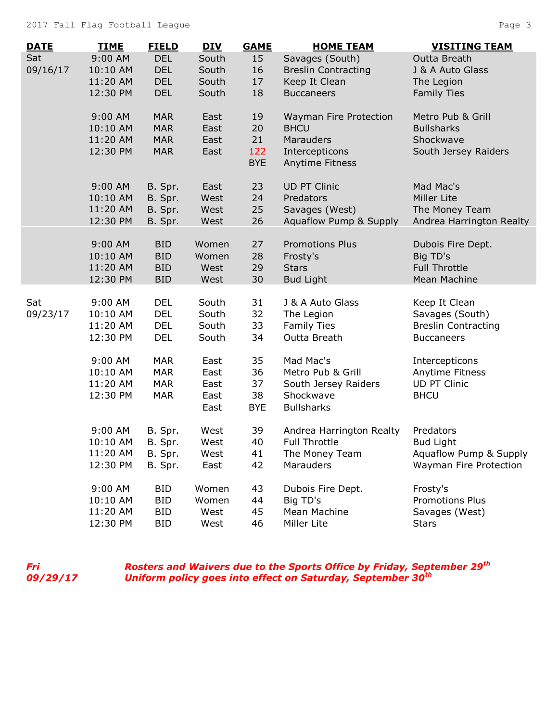| <b>DATE</b> | <b>TIME</b> | <b>FIELD</b> | <b>DIV</b>   | <b>GAME</b>       | <b>HOME TEAM</b>                  | <b>VISITING TEAM</b>       |
|-------------|-------------|--------------|--------------|-------------------|-----------------------------------|----------------------------|
| Sat         | 9:00 AM     | <b>DEL</b>   | South        | 15                | Savages (South)                   | Outta Breath               |
| 09/16/17    | 10:10 AM    | <b>DEL</b>   | South        | 16                | <b>Breslin Contracting</b>        | J & A Auto Glass           |
|             | 11:20 AM    | <b>DEL</b>   | South        | 17                | Keep It Clean                     | The Legion                 |
|             | 12:30 PM    | <b>DEL</b>   | South        | 18                | <b>Buccaneers</b>                 | <b>Family Ties</b>         |
|             | 9:00 AM     | <b>MAR</b>   | East         | 19                | <b>Wayman Fire Protection</b>     | Metro Pub & Grill          |
|             | 10:10 AM    | <b>MAR</b>   | East         | 20                | <b>BHCU</b>                       | <b>Bullsharks</b>          |
|             | 11:20 AM    | <b>MAR</b>   | East         | 21                | Marauders                         | Shockwave                  |
|             | 12:30 PM    | <b>MAR</b>   | East         | 122<br><b>BYE</b> | Intercepticons<br>Anytime Fitness | South Jersey Raiders       |
|             | 9:00 AM     | B. Spr.      | East         | 23                | <b>UD PT Clinic</b>               | Mad Mac's                  |
|             | 10:10 AM    | B. Spr.      | West         | 24                | Predators                         | Miller Lite                |
|             | 11:20 AM    | B. Spr.      | West         | 25                | Savages (West)                    | The Money Team             |
|             | 12:30 PM    | B. Spr.      | West         | 26                | Aquaflow Pump & Supply            | Andrea Harrington Realty   |
|             | 9:00 AM     | <b>BID</b>   | Women        | 27                | <b>Promotions Plus</b>            | Dubois Fire Dept.          |
|             | 10:10 AM    | <b>BID</b>   | Women        | 28                | Frosty's                          | Big TD's                   |
|             | 11:20 AM    | <b>BID</b>   | West         | 29                | <b>Stars</b>                      | <b>Full Throttle</b>       |
|             | 12:30 PM    | <b>BID</b>   | West         | 30                | <b>Bud Light</b>                  | Mean Machine               |
| Sat         | 9:00 AM     | <b>DEL</b>   | South        | 31                | J & A Auto Glass                  | Keep It Clean              |
| 09/23/17    | 10:10 AM    | <b>DEL</b>   | South        | 32                | The Legion                        | Savages (South)            |
|             | 11:20 AM    | <b>DEL</b>   | South        | 33                | <b>Family Ties</b>                | <b>Breslin Contracting</b> |
|             | 12:30 PM    | <b>DEL</b>   | South        | 34                | Outta Breath                      | <b>Buccaneers</b>          |
|             | 9:00 AM     | <b>MAR</b>   | East         | 35                | Mad Mac's                         | Intercepticons             |
|             | 10:10 AM    | <b>MAR</b>   | East         | 36                | Metro Pub & Grill                 | Anytime Fitness            |
|             | 11:20 AM    | <b>MAR</b>   | East         | 37                | South Jersey Raiders              | <b>UD PT Clinic</b>        |
|             | 12:30 PM    | <b>MAR</b>   | East<br>East | 38<br><b>BYE</b>  | Shockwave<br><b>Bullsharks</b>    | <b>BHCU</b>                |
|             | 9:00 AM     | B. Spr.      | West         | 39                | Andrea Harrington Realty          | Predators                  |
|             | 10:10 AM    | B. Spr.      | West         | 40                | Full Throttle                     | <b>Bud Light</b>           |
|             | 11:20 AM    | B. Spr.      | West         | 41                | The Money Team                    | Aquaflow Pump & Supply     |
|             | 12:30 PM    | B. Spr.      | East         | 42                | Marauders                         | Wayman Fire Protection     |
|             | 9:00 AM     | <b>BID</b>   | Women        | 43                | Dubois Fire Dept.                 | Frosty's                   |
|             | 10:10 AM    | <b>BID</b>   | Women        | 44                | Big TD's                          | <b>Promotions Plus</b>     |
|             | 11:20 AM    | <b>BID</b>   | West         | 45                | Mean Machine                      | Savages (West)             |
|             | 12:30 PM    | <b>BID</b>   | West         | 46                | Miller Lite                       | <b>Stars</b>               |

*Fri Rosters and Waivers due to the Sports Office by Friday, September 29th 09/29/17 Uniform policy goes into effect on Saturday, September 30th*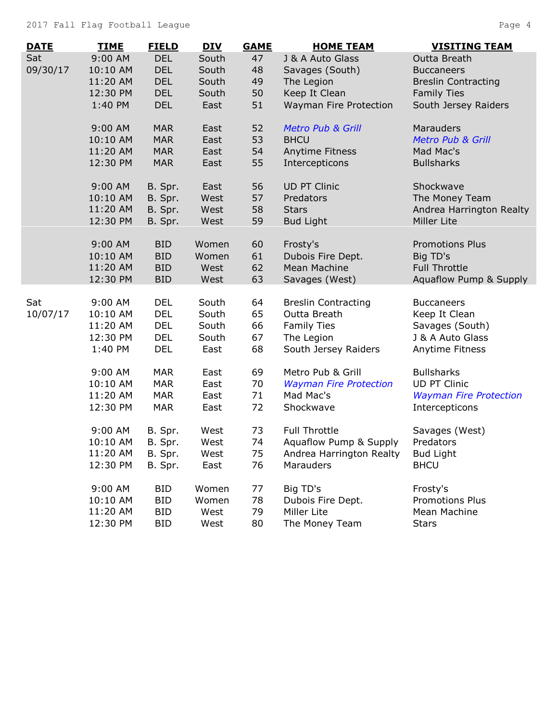| <b>DATE</b> | <b>TIME</b> | <b>FIELD</b> | <b>DIV</b> | <b>GAME</b> | <b>HOME TEAM</b>              | <b>VISITING TEAM</b>          |
|-------------|-------------|--------------|------------|-------------|-------------------------------|-------------------------------|
| Sat         | 9:00 AM     | <b>DEL</b>   | South      | 47          | J & A Auto Glass              | Outta Breath                  |
| 09/30/17    | 10:10 AM    | <b>DEL</b>   | South      | 48          | Savages (South)               | <b>Buccaneers</b>             |
|             | 11:20 AM    | <b>DEL</b>   | South      | 49          | The Legion                    | <b>Breslin Contracting</b>    |
|             | 12:30 PM    | <b>DEL</b>   | South      | 50          | Keep It Clean                 | <b>Family Ties</b>            |
|             | 1:40 PM     | <b>DEL</b>   | East       | 51          | Wayman Fire Protection        | South Jersey Raiders          |
|             | 9:00 AM     | <b>MAR</b>   | East       | 52          | <b>Metro Pub &amp; Grill</b>  | Marauders                     |
|             | 10:10 AM    | <b>MAR</b>   | East       | 53          | <b>BHCU</b>                   | <b>Metro Pub &amp; Grill</b>  |
|             | 11:20 AM    | <b>MAR</b>   | East       | 54          | Anytime Fitness               | Mad Mac's                     |
|             | 12:30 PM    | <b>MAR</b>   | East       | 55          | Intercepticons                | <b>Bullsharks</b>             |
|             | 9:00 AM     | B. Spr.      | East       | 56          | <b>UD PT Clinic</b>           | Shockwave                     |
|             | 10:10 AM    | B. Spr.      | West       | 57          | Predators                     | The Money Team                |
|             | 11:20 AM    | B. Spr.      | West       | 58          | <b>Stars</b>                  | Andrea Harrington Realty      |
|             | 12:30 PM    | B. Spr.      | West       | 59          | <b>Bud Light</b>              | Miller Lite                   |
|             | 9:00 AM     | <b>BID</b>   | Women      | 60          | Frosty's                      | <b>Promotions Plus</b>        |
|             | 10:10 AM    | <b>BID</b>   | Women      | 61          | Dubois Fire Dept.             | Big TD's                      |
|             | 11:20 AM    | <b>BID</b>   | West       | 62          | <b>Mean Machine</b>           | <b>Full Throttle</b>          |
|             | 12:30 PM    | <b>BID</b>   | West       | 63          | Savages (West)                | Aquaflow Pump & Supply        |
| Sat         | 9:00 AM     | <b>DEL</b>   | South      | 64          | <b>Breslin Contracting</b>    | <b>Buccaneers</b>             |
| 10/07/17    | 10:10 AM    | <b>DEL</b>   | South      | 65          | Outta Breath                  | Keep It Clean                 |
|             | 11:20 AM    | <b>DEL</b>   | South      | 66          | <b>Family Ties</b>            | Savages (South)               |
|             | 12:30 PM    | <b>DEL</b>   | South      | 67          | The Legion                    | J & A Auto Glass              |
|             | 1:40 PM     | <b>DEL</b>   | East       | 68          | South Jersey Raiders          | Anytime Fitness               |
|             | 9:00 AM     | <b>MAR</b>   | East       | 69          | Metro Pub & Grill             | <b>Bullsharks</b>             |
|             | 10:10 AM    | <b>MAR</b>   | East       | 70          | <b>Wayman Fire Protection</b> | <b>UD PT Clinic</b>           |
|             | 11:20 AM    | <b>MAR</b>   | East       | 71          | Mad Mac's                     | <b>Wayman Fire Protection</b> |
|             | 12:30 PM    | <b>MAR</b>   | East       | 72          | Shockwave                     | Intercepticons                |
|             | 9:00 AM     | B. Spr.      | West       | 73          | <b>Full Throttle</b>          | Savages (West)                |
|             | 10:10 AM    | B. Spr.      | West       | 74          | Aquaflow Pump & Supply        | Predators                     |
|             | 11:20 AM    | B. Spr.      | West       | 75          | Andrea Harrington Realty      | <b>Bud Light</b>              |
|             | 12:30 PM    | B. Spr.      | East       | 76          | Marauders                     | <b>BHCU</b>                   |
|             | 9:00 AM     | <b>BID</b>   | Women      | 77          | Big TD's                      | Frosty's                      |
|             | 10:10 AM    | <b>BID</b>   | Women      | 78          | Dubois Fire Dept.             | <b>Promotions Plus</b>        |
|             | 11:20 AM    | <b>BID</b>   | West       | 79          | Miller Lite                   | Mean Machine                  |
|             | 12:30 PM    | <b>BID</b>   | West       | 80          | The Money Team                | <b>Stars</b>                  |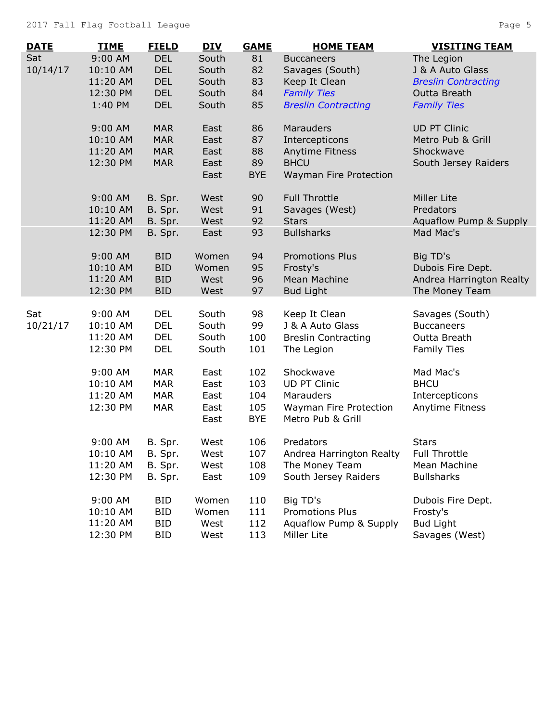| <b>DATE</b> | <b>TIME</b> | <b>FIELD</b> | <b>DIV</b> | <b>GAME</b> | <b>HOME TEAM</b>                  | <b>VISITING TEAM</b>       |
|-------------|-------------|--------------|------------|-------------|-----------------------------------|----------------------------|
| Sat         | 9:00 AM     | <b>DEL</b>   | South      | 81          | <b>Buccaneers</b>                 | The Legion                 |
| 10/14/17    | 10:10 AM    | <b>DEL</b>   | South      | 82          | Savages (South)                   | J & A Auto Glass           |
|             | 11:20 AM    | <b>DEL</b>   | South      | 83          | Keep It Clean                     | <b>Breslin Contracting</b> |
|             | 12:30 PM    | <b>DEL</b>   | South      | 84          | <b>Family Ties</b>                | Outta Breath               |
|             | 1:40 PM     | <b>DEL</b>   | South      | 85          | <b>Breslin Contracting</b>        | <b>Family Ties</b>         |
|             | 9:00 AM     | <b>MAR</b>   | East       | 86          | <b>Marauders</b>                  | <b>UD PT Clinic</b>        |
|             | 10:10 AM    | <b>MAR</b>   | East       | 87          | Intercepticons                    | Metro Pub & Grill          |
|             | 11:20 AM    | <b>MAR</b>   | East       | 88          | Anytime Fitness                   | Shockwave                  |
|             | 12:30 PM    | <b>MAR</b>   | East       | 89          | <b>BHCU</b>                       | South Jersey Raiders       |
|             |             |              | East       | <b>BYE</b>  | Wayman Fire Protection            |                            |
|             | 9:00 AM     | B. Spr.      | West       | 90          | <b>Full Throttle</b>              | Miller Lite                |
|             | 10:10 AM    | B. Spr.      | West       | 91          | Savages (West)                    | Predators                  |
|             | 11:20 AM    | B. Spr.      | West       | 92          | <b>Stars</b>                      | Aquaflow Pump & Supply     |
|             | 12:30 PM    | B. Spr.      | East       | 93          | <b>Bullsharks</b>                 | Mad Mac's                  |
|             | 9:00 AM     | <b>BID</b>   | Women      | 94          | <b>Promotions Plus</b>            | Big TD's                   |
|             | 10:10 AM    | <b>BID</b>   | Women      | 95          | Frosty's                          | Dubois Fire Dept.          |
|             | 11:20 AM    | <b>BID</b>   | West       | 96          | Mean Machine                      | Andrea Harrington Realty   |
|             | 12:30 PM    | <b>BID</b>   | West       | 97          | <b>Bud Light</b>                  | The Money Team             |
| Sat         | 9:00 AM     | <b>DEL</b>   | South      | 98          | Keep It Clean                     | Savages (South)            |
| 10/21/17    | 10:10 AM    | <b>DEL</b>   | South      | 99          | J & A Auto Glass                  | <b>Buccaneers</b>          |
|             | 11:20 AM    | <b>DEL</b>   | South      | 100         | <b>Breslin Contracting</b>        | Outta Breath               |
|             | 12:30 PM    | <b>DEL</b>   | South      | 101         | The Legion                        | <b>Family Ties</b>         |
|             | 9:00 AM     | <b>MAR</b>   | East       | 102         | Shockwave                         | Mad Mac's                  |
|             | 10:10 AM    | <b>MAR</b>   | East       | 103         | <b>UD PT Clinic</b>               | <b>BHCU</b>                |
|             | 11:20 AM    | <b>MAR</b>   | East       | 104         | Marauders                         | Intercepticons             |
|             | 12:30 PM    | <b>MAR</b>   | East       | 105         | Wayman Fire Protection            | Anytime Fitness            |
|             |             |              | East       | <b>BYE</b>  | Metro Pub & Grill                 |                            |
|             | 9:00 AM     | B. Spr.      | West       | 106         | Predators                         | <b>Stars</b>               |
|             | 10:10 AM    | B. Spr.      | West       | 107         | Andrea Harrington Realty          | <b>Full Throttle</b>       |
|             | 11:20 AM    | B. Spr.      | West       | 108         | The Money Team                    | Mean Machine               |
|             | 12:30 PM    | B. Spr.      | East       | 109         | South Jersey Raiders              | <b>Bullsharks</b>          |
|             | 9:00 AM     | <b>BID</b>   | Women      | 110         | Big TD's                          | Dubois Fire Dept.          |
|             | 10:10 AM    | <b>BID</b>   | Women      | 111         | <b>Promotions Plus</b>            | Frosty's                   |
|             | 11:20 AM    | <b>BID</b>   | West       | 112         | <b>Aquaflow Pump &amp; Supply</b> | <b>Bud Light</b>           |
|             | 12:30 PM    | <b>BID</b>   | West       | 113         | Miller Lite                       | Savages (West)             |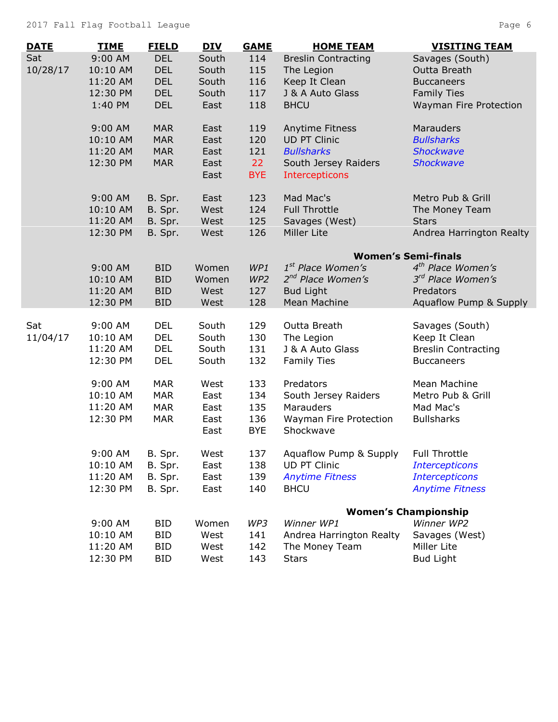| <b>DATE</b> | <b>TIME</b> | <b>FIELD</b> | <b>DIV</b> | <b>GAME</b> | <b>HOME TEAM</b>              | <b>VISITING TEAM</b>              |
|-------------|-------------|--------------|------------|-------------|-------------------------------|-----------------------------------|
| Sat         | 9:00 AM     | <b>DEL</b>   | South      | 114         | <b>Breslin Contracting</b>    | Savages (South)                   |
| 10/28/17    | 10:10 AM    | <b>DEL</b>   | South      | 115         | The Legion                    | Outta Breath                      |
|             | 11:20 AM    | <b>DEL</b>   | South      | 116         | Keep It Clean                 | <b>Buccaneers</b>                 |
|             | 12:30 PM    | <b>DEL</b>   | South      | 117         | J & A Auto Glass              | <b>Family Ties</b>                |
|             | 1:40 PM     | <b>DEL</b>   | East       | 118         | <b>BHCU</b>                   | Wayman Fire Protection            |
|             | 9:00 AM     | <b>MAR</b>   | East       | 119         | Anytime Fitness               | Marauders                         |
|             | 10:10 AM    | <b>MAR</b>   | East       | 120         | <b>UD PT Clinic</b>           | <b>Bullsharks</b>                 |
|             | 11:20 AM    | <b>MAR</b>   | East       | 121         | <b>Bullsharks</b>             | <b>Shockwave</b>                  |
|             | 12:30 PM    | <b>MAR</b>   | East       | 22          | South Jersey Raiders          | <b>Shockwave</b>                  |
|             |             |              | East       | <b>BYE</b>  | Intercepticons                |                                   |
|             | 9:00 AM     | B. Spr.      | East       | 123         | Mad Mac's                     | Metro Pub & Grill                 |
|             | 10:10 AM    | B. Spr.      | West       | 124         | <b>Full Throttle</b>          | The Money Team                    |
|             | 11:20 AM    | B. Spr.      | West       | 125         | Savages (West)                | <b>Stars</b>                      |
|             | 12:30 PM    | B. Spr.      | West       | 126         | Miller Lite                   | Andrea Harrington Realty          |
|             |             |              |            |             |                               | <b>Women's Semi-finals</b>        |
|             | 9:00 AM     | <b>BID</b>   | Women      | WP1         | 1 <sup>st</sup> Place Women's | 4 <sup>th</sup> Place Women's     |
|             | 10:10 AM    | <b>BID</b>   | Women      | WP2         | 2 <sup>nd</sup> Place Women's | 3rd Place Women's                 |
|             | 11:20 AM    | <b>BID</b>   | West       | 127         | <b>Bud Light</b>              | Predators                         |
|             | 12:30 PM    | <b>BID</b>   | West       | 128         | Mean Machine                  | <b>Aquaflow Pump &amp; Supply</b> |
| Sat         | 9:00 AM     | <b>DEL</b>   | South      | 129         | Outta Breath                  | Savages (South)                   |
| 11/04/17    | 10:10 AM    | <b>DEL</b>   | South      | 130         | The Legion                    | Keep It Clean                     |
|             | 11:20 AM    | <b>DEL</b>   | South      | 131         | J & A Auto Glass              | <b>Breslin Contracting</b>        |
|             | 12:30 PM    | <b>DEL</b>   | South      | 132         | <b>Family Ties</b>            | <b>Buccaneers</b>                 |
|             | 9:00 AM     | <b>MAR</b>   | West       | 133         | Predators                     | Mean Machine                      |
|             | 10:10 AM    | <b>MAR</b>   | East       | 134         | South Jersey Raiders          | Metro Pub & Grill                 |
|             | 11:20 AM    | <b>MAR</b>   | East       | 135         | Marauders                     | Mad Mac's                         |
|             | 12:30 PM    | <b>MAR</b>   | East       | 136         | Wayman Fire Protection        | <b>Bullsharks</b>                 |
|             |             |              | East       | <b>BYE</b>  | Shockwave                     |                                   |
|             | 9:00 AM     | B. Spr.      | West       | 137         | Aquaflow Pump & Supply        | Full Throttle                     |
|             | 10:10 AM    | B. Spr.      | East       | 138         | <b>UD PT Clinic</b>           | <b>Intercepticons</b>             |
|             | 11:20 AM    | B. Spr.      | East       | 139         | <b>Anytime Fitness</b>        | <b>Intercepticons</b>             |
|             | 12:30 PM    | B. Spr.      | East       | 140         | <b>BHCU</b>                   | <b>Anytime Fitness</b>            |
|             |             |              |            |             | <b>Women's Championship</b>   |                                   |
|             | 9:00 AM     | <b>BID</b>   | Women      | WP3         | Winner WP1                    | Winner WP2                        |
|             | 10:10 AM    | <b>BID</b>   | West       | 141         | Andrea Harrington Realty      | Savages (West)                    |
|             | 11:20 AM    | <b>BID</b>   | West       | 142         | The Money Team                | Miller Lite                       |
|             | 12:30 PM    | <b>BID</b>   | West       | 143         | <b>Stars</b>                  | <b>Bud Light</b>                  |